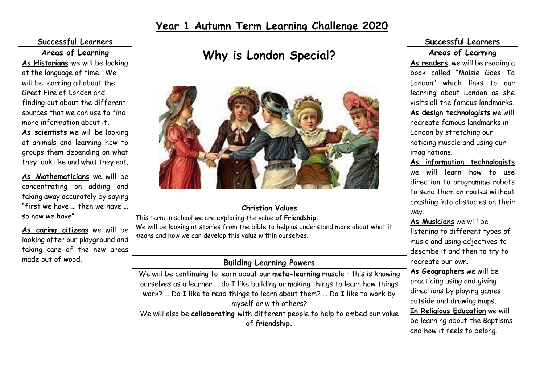## **Year 1 Autumn Term Learning Challenge 2020**

#### **Successful Learners Areas of Learning**

**As Historians** we will be looking at the language of time. We will be learning all about the Great Fire of London and finding out about the different sources that we can use to find more information about it. **As scientists** we will be looking at animals and learning how to groups them depending on what they look like and what they eat.

**As Mathematicians** we will be concentrating on adding and taking away accurately by saying "first we have … then we have … so now we have"

**As caring citizens** we will be looking after our playground and taking care of the new areas made out of wood.

# **Why is London Special?**



#### **Christian Values**

This term in school we are exploring the value of **Friendship.** We will be looking at stories from the bible to help us understand more about what it means and how we can develop this value within ourselves.

#### **Building Learning Powers**

We will be continuing to learn about our **meta-learning** muscle – this is knowing ourselves as a learner … do I like building or making things to learn how things work? ... Do I like to read things to learn about them? ... Do I like to work by myself or with others? We will also be **collaborating** with different people to help to embed our value of **friendship.** 

#### **Successful Learners Areas of Learning**

**As readers**, we will be reading a book called "Maisie Goes To London" which links to our learning about London as she visits all the famous landmarks. **As design technologists** we will recreate famous landmarks in London by stretching our noticing muscle and using our imaginations.

**As information technologists** we will learn how to use direction to programme robots to send them on routes without crashing into obstacles on their way.

**As Musicians** we will be listening to different types of music and using adjectives to describe it and then to try to recreate our own. **As Geographers** we will be practicing using and giving

directions by playing games outside and drawing maps.

**In Religious Education** we will be learning about the Baptisms and how it feels to belong.